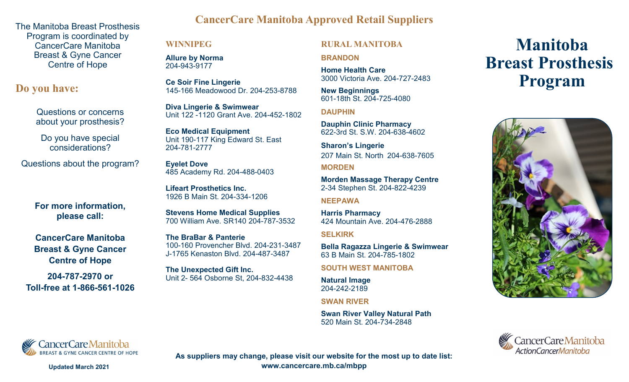The Manitoba Breast Prosthesis Program is coordinated by CancerCare Manitoba Breast & Gyne Cancer Centre of Hope

**Do you have:**

Questions or concerns about your prosthesis?

Do you have special considerations?

Questions about the program?

**For more information, please call:**

**CancerCare Manitoba Breast & Gyne Cancer Centre of Hope** 

**204-787-2970 or Toll-free at 1-866-561-1026**

# **CancerCare Manitoba Approved Retail Suppliers**

### **WINNIPEG**

**Allure by Norma** 204-943-9177

**Ce Soir Fine Lingerie** 145-166 Meadowood Dr. 204-253-8788

**Diva Lingerie & Swimwear** Unit 122 -1120 Grant Ave. 204-452-1802

**Eco Medical Equipment** Unit 190-117 King Edward St. East 204-781-2777

**Eyelet Dove** 485 Academy Rd. 204-488-0403

**Lifeart Prosthetics Inc.**  1926 B Main St. 204-334-1206

**Stevens Home Medical Supplies** 700 William Ave. SR140 204-787-3532

**The BraBar & Panterie** 100-160 Provencher Blvd. 204-231-3487 J-1765 Kenaston Blvd. 204-487-3487

**The Unexpected Gift Inc.** Unit 2- 564 Osborne St, 204-832-4438

## **RURAL MANITOBA**

**BRANDON**

**Home Health Care** 3000 Victoria Ave. 204-727-2483

**New Beginnings** 601-18th St. 204-725-4080

**DAUPHIN**

**Dauphin Clinic Pharmacy** 622-3rd St. S.W. 204-638-4602

**Sharon's Lingerie** 207 Main St. North 204-638-7605

**MORDEN**

**Morden Massage Therapy Centre** 2-34 Stephen St. 204-822-4239

### **NEEPAWA**

**Harris Pharmacy** 424 Mountain Ave. 204-476-2888

**SELKIRK**

**Bella Ragazza Lingerie & Swimwear** 63 B Main St. 204-785-1802

**SOUTH WEST MANITOBA**

**Natural Image** 204-242-2189

**SWAN RIVER**

**Swan River Valley Natural Path** 520 Main St. 204-734-2848

# **Manitoba Breast Prosthesis Program**







**As suppliers may change, please visit our website for the most up to date list: www.cancercare.mb.ca/mbpp** 

**Updated March 2021**